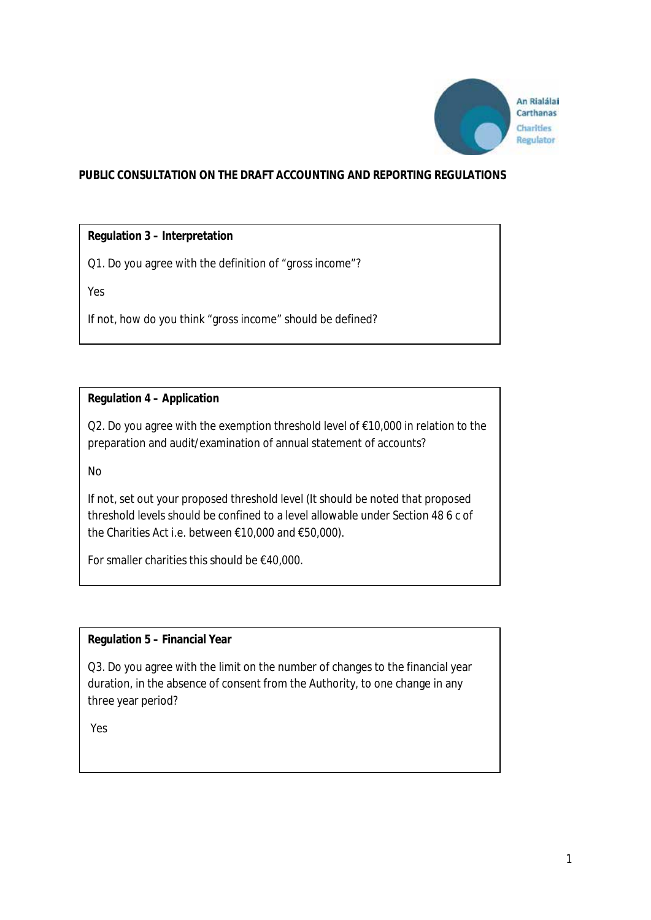

# **PUBLIC CONSULTATION ON THE DRAFT ACCOUNTING AND REPORTING REGULATIONS**

### **Regulation 3 – Interpretation**

Q1. Do you agree with the definition of "gross income"?

Yes

If not, how do you think "gross income" should be defined?

### **Regulation 4 – Application**

Q2. Do you agree with the exemption threshold level of €10,000 in relation to the preparation and audit/examination of annual statement of accounts?

No

If not, set out your proposed threshold level (It should be noted that proposed threshold levels should be confined to a level allowable under Section 48 6 c of the Charities Act i.e. between €10,000 and €50,000).

For smaller charities this should be €40,000.

### **Regulation 5 – Financial Year**

Q3. Do you agree with the limit on the number of changes to the financial year duration, in the absence of consent from the Authority, to one change in any three year period?

Yes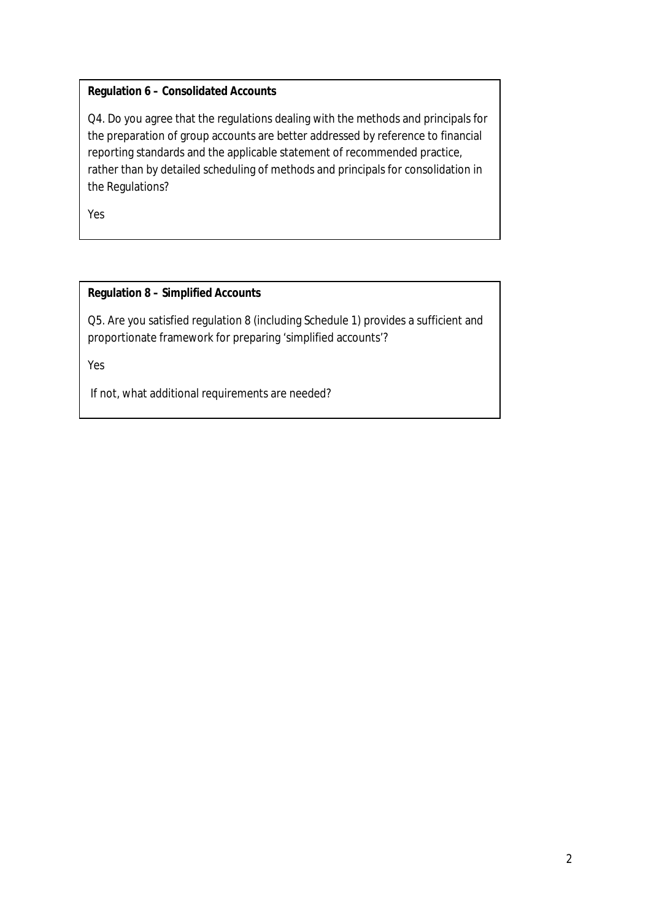# **Regulation 6 – Consolidated Accounts**

Q4. Do you agree that the regulations dealing with the methods and principals for the preparation of group accounts are better addressed by reference to financial reporting standards and the applicable statement of recommended practice, rather than by detailed scheduling of methods and principals for consolidation in the Regulations?

Yes

# **Regulation 8 – Simplified Accounts**

Q5. Are you satisfied regulation 8 (including Schedule 1) provides a sufficient and proportionate framework for preparing 'simplified accounts'?

Yes

If not, what additional requirements are needed?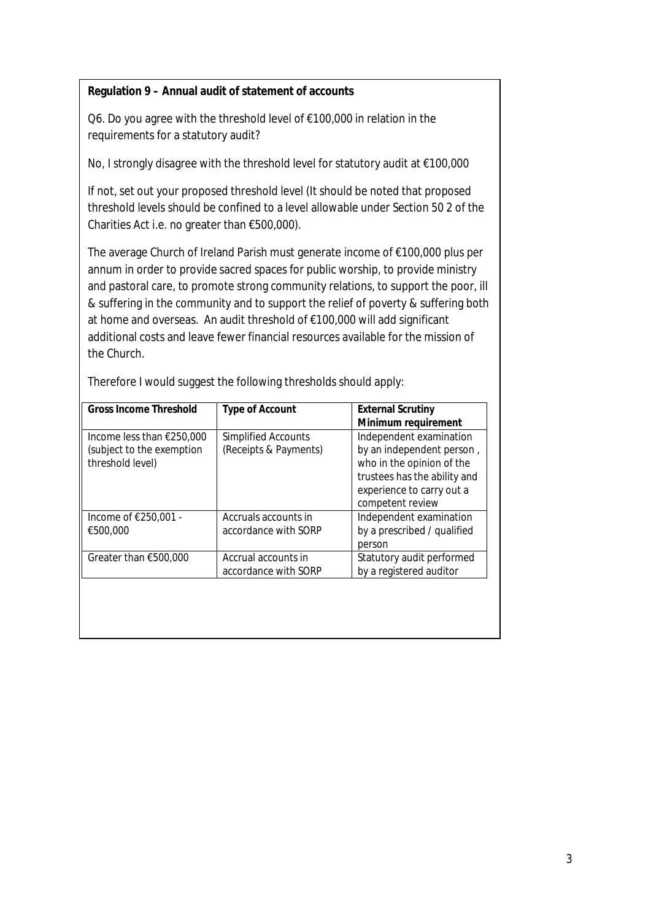### **Regulation 9 – Annual audit of statement of accounts**

Q6. Do you agree with the threshold level of €100,000 in relation in the requirements for a statutory audit?

No, I strongly disagree with the threshold level for statutory audit at €100,000

If not, set out your proposed threshold level (It should be noted that proposed threshold levels should be confined to a level allowable under Section 50 2 of the Charities Act i.e. no greater than €500,000).

The average Church of Ireland Parish must generate income of €100,000 plus per annum in order to provide sacred spaces for public worship, to provide ministry and pastoral care, to promote strong community relations, to support the poor, ill & suffering in the community and to support the relief of poverty & suffering both at home and overseas. An audit threshold of €100,000 will add significant additional costs and leave fewer financial resources available for the mission of the Church.

| <b>Gross Income Threshold</b> | <b>Type of Account</b> | <b>External Scrutiny</b>     |
|-------------------------------|------------------------|------------------------------|
|                               |                        | Minimum requirement          |
| Income less than $£250,000$   | Simplified Accounts    | Independent examination      |
| (subject to the exemption     | (Receipts & Payments)  | by an independent person,    |
| threshold level)              |                        | who in the opinion of the    |
|                               |                        | trustees has the ability and |
|                               |                        | experience to carry out a    |
|                               |                        | competent review             |
| Income of €250,001 -          | Accruals accounts in   | Independent examination      |
| €500,000                      | accordance with SORP   | by a prescribed / qualified  |
|                               |                        | person                       |
| Greater than $€500,000$       | Accrual accounts in    | Statutory audit performed    |
|                               | accordance with SORP   | by a registered auditor      |
|                               |                        |                              |
|                               |                        |                              |

Therefore I would suggest the following thresholds should apply: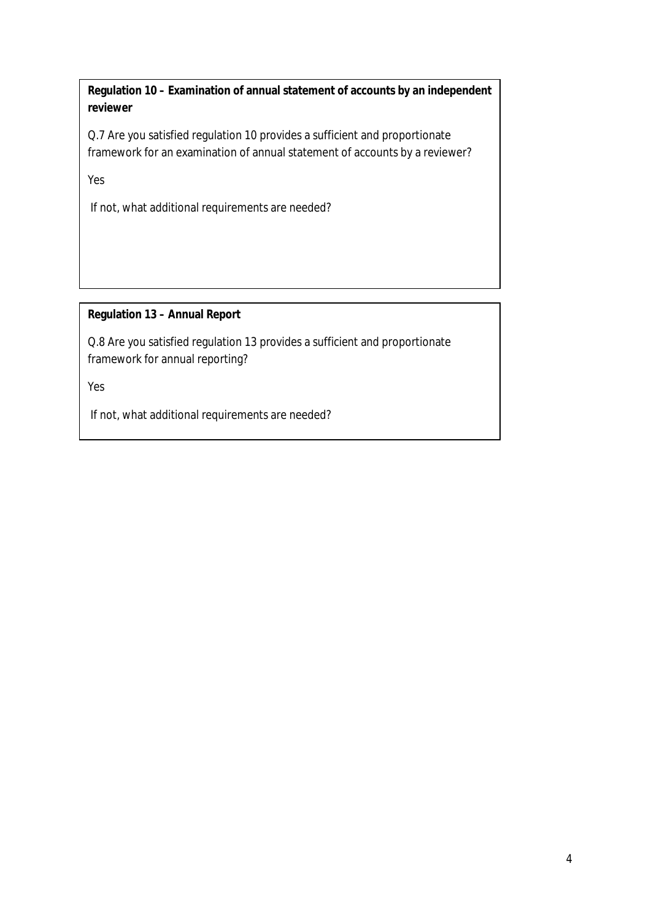**Regulation 10 – Examination of annual statement of accounts by an independent reviewer**

Q.7 Are you satisfied regulation 10 provides a sufficient and proportionate framework for an examination of annual statement of accounts by a reviewer?

Yes

If not, what additional requirements are needed?

# **Regulation 13 – Annual Report**

Q.8 Are you satisfied regulation 13 provides a sufficient and proportionate framework for annual reporting?

Yes

If not, what additional requirements are needed?